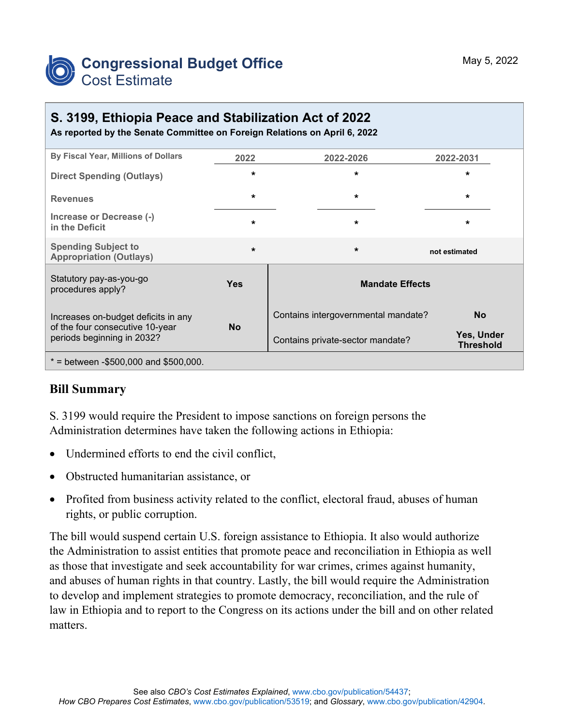

# **S. 3199, Ethiopia Peace and Stabilization Act of 2022**

**As reported by the Senate Committee on Foreign Relations on April 6, 2022**

| By Fiscal Year, Millions of Dollars                                                                  | 2022       | 2022-2026                           | 2022-2031                      |
|------------------------------------------------------------------------------------------------------|------------|-------------------------------------|--------------------------------|
| <b>Direct Spending (Outlays)</b>                                                                     | $\star$    | $\star$                             | $\star$                        |
| <b>Revenues</b>                                                                                      | $\star$    | $\star$                             | $\star$                        |
| Increase or Decrease (-)<br>in the Deficit                                                           | $\star$    | $\star$                             | $\star$                        |
| <b>Spending Subject to</b><br><b>Appropriation (Outlays)</b>                                         | $\star$    | $\star$                             | not estimated                  |
| Statutory pay-as-you-go<br>procedures apply?                                                         | <b>Yes</b> | <b>Mandate Effects</b>              |                                |
| Increases on-budget deficits in any<br>of the four consecutive 10-year<br>periods beginning in 2032? | <b>No</b>  | Contains intergovernmental mandate? | <b>No</b>                      |
|                                                                                                      |            | Contains private-sector mandate?    | Yes, Under<br><b>Threshold</b> |
| $*$ = between -\$500,000 and \$500,000.                                                              |            |                                     |                                |

### **Bill Summary**

S. 3199 would require the President to impose sanctions on foreign persons the Administration determines have taken the following actions in Ethiopia:

- Undermined efforts to end the civil conflict,
- Obstructed humanitarian assistance, or
- Profited from business activity related to the conflict, electoral fraud, abuses of human rights, or public corruption.

The bill would suspend certain U.S. foreign assistance to Ethiopia. It also would authorize the Administration to assist entities that promote peace and reconciliation in Ethiopia as well as those that investigate and seek accountability for war crimes, crimes against humanity, and abuses of human rights in that country. Lastly, the bill would require the Administration to develop and implement strategies to promote democracy, reconciliation, and the rule of law in Ethiopia and to report to the Congress on its actions under the bill and on other related matters.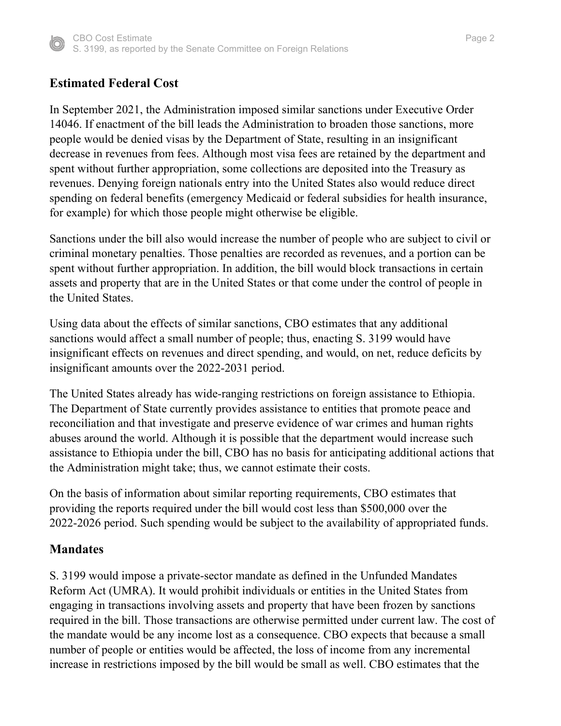

## **Estimated Federal Cost**

In September 2021, the Administration imposed similar sanctions under Executive Order 14046. If enactment of the bill leads the Administration to broaden those sanctions, more people would be denied visas by the Department of State, resulting in an insignificant decrease in revenues from fees. Although most visa fees are retained by the department and spent without further appropriation, some collections are deposited into the Treasury as revenues. Denying foreign nationals entry into the United States also would reduce direct spending on federal benefits (emergency Medicaid or federal subsidies for health insurance, for example) for which those people might otherwise be eligible.

Sanctions under the bill also would increase the number of people who are subject to civil or criminal monetary penalties. Those penalties are recorded as revenues, and a portion can be spent without further appropriation. In addition, the bill would block transactions in certain assets and property that are in the United States or that come under the control of people in the United States.

Using data about the effects of similar sanctions, CBO estimates that any additional sanctions would affect a small number of people; thus, enacting S. 3199 would have insignificant effects on revenues and direct spending, and would, on net, reduce deficits by insignificant amounts over the 2022-2031 period.

The United States already has wide-ranging restrictions on foreign assistance to Ethiopia. The Department of State currently provides assistance to entities that promote peace and reconciliation and that investigate and preserve evidence of war crimes and human rights abuses around the world. Although it is possible that the department would increase such assistance to Ethiopia under the bill, CBO has no basis for anticipating additional actions that the Administration might take; thus, we cannot estimate their costs.

On the basis of information about similar reporting requirements, CBO estimates that providing the reports required under the bill would cost less than \$500,000 over the 2022-2026 period. Such spending would be subject to the availability of appropriated funds.

#### **Mandates**

S. 3199 would impose a private-sector mandate as defined in the Unfunded Mandates Reform Act (UMRA). It would prohibit individuals or entities in the United States from engaging in transactions involving assets and property that have been frozen by sanctions required in the bill. Those transactions are otherwise permitted under current law. The cost of the mandate would be any income lost as a consequence. CBO expects that because a small number of people or entities would be affected, the loss of income from any incremental increase in restrictions imposed by the bill would be small as well. CBO estimates that the